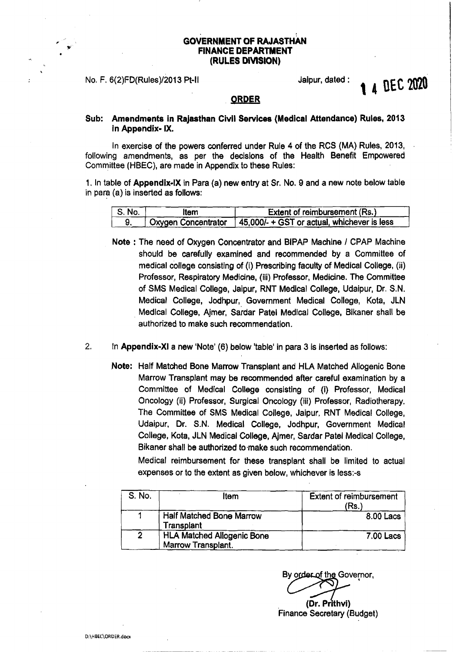## GOVERNMENT OF RAJASTHAN FINANCE DEPARTMENT (RULES DIVISION)

No. F. 6(2)FD(Rules)/2013 Pt-II General Australian Australian Australian Australian Australian Australian Australian Australian Australian Australian Australian Australian Australian Australian Australian Australian Austra

# A DEC 2020

### ORDER

Sub: Amendments in Rajasthan Civil Services (Medical Attendance) Rules, 2013 in Appendix-IX.

In exercise of the powers conferred under Rule 4 of the RCS (MA) Rules, 2013, following amendments, as per the decisions of the Health Benefit Empowered Committee (HBEC), are made in Appendix to these Rules:

1. In table of Appendix-IX in Para (a) new entry at Sr. No. 9 and a new note below table in para (a) is inserted as follows:

| $^{\circ}$ S. No. $^{\circ}$ | .tem                       | Extent of reimbursement (Rs.)                      |
|------------------------------|----------------------------|----------------------------------------------------|
|                              | <b>Oxygen Concentrator</b> | $\sqrt{45,000}$ + GST or actual, whichever is less |

- Note: The need of Oxygen Concentrator and BIPAP Machine *I* CPAP Machine should be carefully examined and recommended by a Committee of medical college consisting of (i) Prescribing faculty of Medical College, (ii) Professor, Respiratory Medicine, (iii) Professor, Medicine. The Committee of SMS Medical College, Jaipur, RNT Medical College, Udaipur, Dr. S.N. Medical College, Jodhpur; Government Medical College, Kota, JLN . Medical College, Ajmer, Sardar Patel Medical College, Blkaner shall be authorized to make such recommendation.
- 2. In Appendix-XI a new 'Note' (6) below 'table' in para 3 is inserted as follows:
	- Note: Half Matched Bone Marrow Transplant and HLA Matched Allogenic Bone Marrow Transplant may be recommended after careful examination by a Committee of Medical College consisting of (i) Professor, Medical Oncology (ii) Professor, Surgical Oncology (iii) Professor, Radiotherapy. The Committee of SMS Medical College, Jaipur, RNT Medical College, Udaipur. Dr. S.N. Medical College, Jodhpur, Government Medical College, Kota, JLN Medical College, Ajmer, Sardar Patel Medical College, Bikaner shall be authorized to make such recommendation.

Medical reimbursement for these transplant shall be limited to actual expenses or to the extent as given below, whichever is less:-s

| S. No. | Item                                                    | <b>Extent of reimbursement</b><br>(Rs. |
|--------|---------------------------------------------------------|----------------------------------------|
|        | Half Matched Bone Marrow<br>Transplant                  | 8.00 Lacs                              |
| 2      | <b>HLA Matched Allogenic Bone</b><br>Marrow Transplant. | <b>7.00 Lacs</b>                       |

By order of the Governor, (Dr. Prithvi) Finance Secretary (Budget)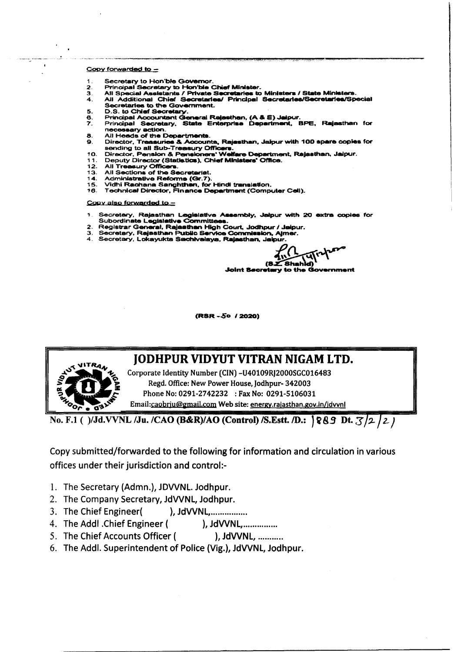#### Copy forwarded to -

- Secretary to Hon'ble Governor.  $\mathbf 1$ .
- 
- $\mathbf{R}$
- Secretary to Hon'ble Chief Minister.<br>
All Special Assistants / Private Secretaries to Ministers / State Ministers.<br>
All Additional Chief Secretaries/ Principal Secretaries/Secretaries/Special  $\overline{\mathbf{4}}$ **Secretaries to the Government.**
- D.S. to Chief Secretary.  $\mathbf{R}$
- 
- Disclosed Accountant General Rajasthan, (A & E) Jaipur.<br>Principal Secretary, State Enterprise Department, BPE, Rajasthan for  $\overline{r}$ necessary action
- 8. All Heads of the Departments.
- Director, Treasuries & Accounts, Rajasthan, Jaipur with 100 spare copies for  $\overline{\mathbf{Q}}$ Sending to all Sub-Treasury Officers.<br>Sending to all Sub-Treasury Officers.<br>Director, Pension & Pensioners' Welfare Department, Rajasthan, Jaipur.
- 10.
- $11$ Deputy Director (Statistics), Chief Ministers' Office.
- $12<sub>1</sub>$ All Treasury Officer  $13.$
- All Sections of the Secretariat.  $14.$
- Administrative Reforms (Gr.7).
- Vidhi Rachana Sanghthan, for Hindi translation.  $15.$ 16. Technical Director, Finance Department (Computer Cell).

#### Copy also forwarded to -

- Secretary, Rajasthan Legislative Assembly, Jaipur with 20 extra copies for<br>Subordinate Legislative Committees.
- Subdivision and Legislative Constitutions.<br>2. Registrar General, Rajasthan High Court, Jodhpur / Jaipur.<br>3. Secretary, Rajasthan Public Service Commission, Ajmer.
- 
- Secretary, Lokayukta Sachivalaya, Rajasthan, Jaipur

 $4v<sup>1</sup>$  $(8.2.8hahid)$ Joint Becretary to the Government

(RSR-50 / 2020)



# **JODHPUR VIDYUT VITRAN NIGAM LTD.**

Corporate Identity Number (CIN) -U40109RJ2000SGC016483 Regd. Office: New Power House, Jodhpur-342003 Phone No: 0291-2742232 : Fax No: 0291-5106031 Email:caobriu@gmail.com Web site: energy.rajasthan.gov.in/jdvvnl

No. F.1 ()/Jd.VVNL /Ju. /CAO (B&R)/AO (Control) /S.Estt. /D.: §89 Dt. 3/2/2/

Copy submitted/forwarded to the following for information and circulation in various offices under their jurisdiction and control:-

- 1. The Secretary (Admn.), JDVVNL. Jodhpur.
- 2. The Company Secretary, JdVVNL, Jodhpur.
- 3. The Chief Engineer( ), JdVVNL,................
- 4. The Addl . Chief Engineer (
- 5. The Chief Accounts Officer ( ), JdVVNL, ...........
- 6. The Addl. Superintendent of Police (Vig.), JdVVNL, Jodhpur.